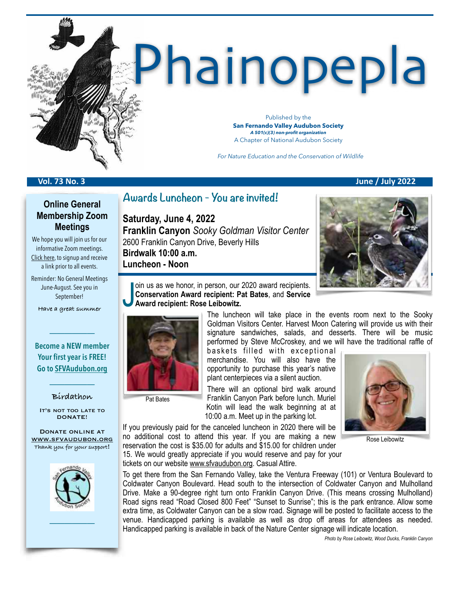

### **Vol. 73 No. 3 June / July 2022**

### **Online General Membership Zoom Meetings**

We hope you will join us for our informative Zoom meetings. [Click here](https://www.sfvaudubon.org/zoom-event-sign-up/), to signup and receive a link prior to all events.

Reminder: No General Meetings June-August. See you in September!

**Have a great summer**

**Become a NEW member Your first year is FREE! Go to [SFVAudubon.org](http://sfvaudubon.org)**

——————

### —————— **Birdathon**

IT'S NOT TOO LATE TO DONATE!

Donate online at [www.sfvaudubon.org](http://www.sfvaudubon.org) **Thank you for your support**!



——————

# **Awards Luncheon - You are invited!**

**Saturday, June 4, 2022 Franklin Canyon** *Sooky Goldman Visitor Center* 2600 Franklin Canyon Drive, Beverly Hills **Birdwalk 10:00 a.m. Luncheon - Noon**



J oin us as we honor, in person, our 2020 award recipients. **Conservation Award recipient: Pat Bates**, and **Service Award recipient: Rose Leibowitz.**



signature sandwiches, salads, and desserts. There will be music performed by Steve McCroskey, and we will have the traditional raffle of baskets filled with exceptional merchandise. You will also have the opportunity to purchase this year's native plant centerpieces via a silent auction.

The luncheon will take place in the events room next to the Sooky Goldman Visitors Center. Harvest Moon Catering will provide us with their

Pat Bates

There will an optional bird walk around Franklin Canyon Park before lunch. Muriel Kotin will lead the walk beginning at at 10:00 a.m. Meet up in the parking lot.

Rose Leibowitz

If you previously paid for the canceled luncheon in 2020 there will be no additional cost to attend this year. If you are making a new reservation the cost is \$35.00 for adults and \$15.00 for children under 15. We would greatly appreciate if you would reserve and pay for your tickets on our website [www.sfvaudubon.org](http://www.sfvaudubon.org). Casual Attire.

To get there from the San Fernando Valley, take the Ventura Freeway (101) or Ventura Boulevard to Coldwater Canyon Boulevard. Head south to the intersection of Coldwater Canyon and Mulholland Drive. Make a 90-degree right turn onto Franklin Canyon Drive. (This means crossing Mulholland) Road signs read "Road Closed 800 Feet" "Sunset to Sunrise"; this is the park entrance. Allow some extra time, as Coldwater Canyon can be a slow road. Signage will be posted to facilitate access to the venue. Handicapped parking is available as well as drop off areas for attendees as needed. Handicapped parking is available in back of the Nature Center signage will indicate location.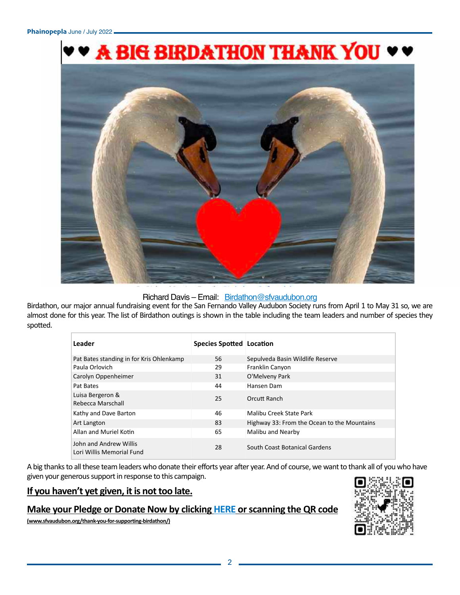

Richard Davis – Email: [Birdathon@sfvaudubon.org](mailto:Birdathon@sfvaudubon.org)

Birdathon, our major annual fundraising event for the San Fernando Valley Audubon Society runs from April 1 to May 31 so, we are almost done for this year. The list of Birdathon outings is shown in the table including the team leaders and number of species they spotted.

| Leader                                              | <b>Species Spotted Location</b> |                                             |
|-----------------------------------------------------|---------------------------------|---------------------------------------------|
| Pat Bates standing in for Kris Ohlenkamp            | 56                              | Sepulveda Basin Wildlife Reserve            |
| Paula Orlovich                                      | 29                              | Franklin Canyon                             |
| Carolyn Oppenheimer                                 | 31                              | O'Melveny Park                              |
| Pat Bates                                           | 44                              | Hansen Dam                                  |
| Luisa Bergeron &<br>Rebecca Marschall               | 25                              | Orcutt Ranch                                |
| Kathy and Dave Barton                               | 46                              | Malibu Creek State Park                     |
| Art Langton                                         | 83                              | Highway 33: From the Ocean to the Mountains |
| Allan and Muriel Kotin                              | 65                              | Malibu and Nearby                           |
| John and Andrew Willis<br>Lori Willis Memorial Fund | 28                              | South Coast Botanical Gardens               |

A big thanks to all these team leaders who donate their efforts year after year. And of course, we want to thank all of you who have given your generous support in response to this campaign.

### **If you haven't yet given, it is not too late.**

### **Make your Pledge or Donate Now by clicking [HERE](https://www.sfvaudubon.org/thank-you-for-supporting-bir) or scanning the QR code**

**[\(www.sfvaudubon.org/thank-you-for-supporting-birdathon/\)](http://www.sfvaudubon.org/thank-you-for-supporting-birdathon/)**

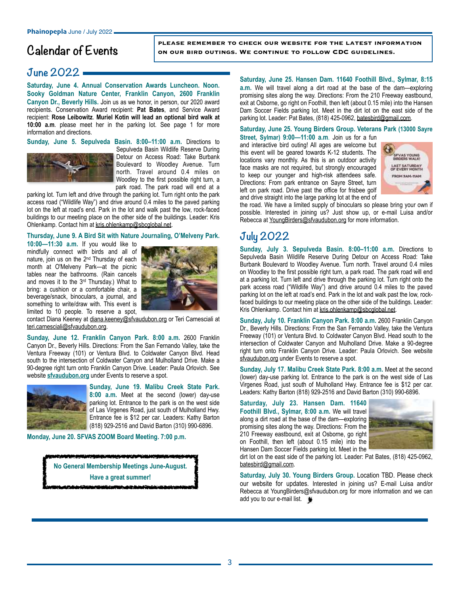# **Calendar of Events**

**please remember to check our website for the latest information on our bird outings. We continue to follow CDC guidelines.**

# **June 2022**

**Saturday, June 4. Annual Conservation Awards Luncheon. Noon. Sooky Goldman Nature Center, Franklin Canyon, 2600 Franklin Canyon Dr., Beverly Hills.** Join us as we honor, in person, our 2020 award recipients. Conservation Award recipient: **Pat Bates**, and Service Award recipient: **Rose Leibowitz**. **Muriel Kotin will lead an optional bird walk at 10:00 a.m**. please meet her in the parking lot. See page 1 for more information and directions.

**Sunday, June 5. Sepulveda Basin. 8:00–11:00 a.m.** Directions to



Sepulveda Basin Wildlife Reserve During Detour on Access Road: Take Burbank Boulevard to Woodley Avenue. Turn north. Travel around 0.4 miles on Woodley to the first possible right turn, a park road. The park road will end at a

parking lot. Turn left and drive through the parking lot. Turn right onto the park access road ("Wildlife Way") and drive around 0.4 miles to the paved parking lot on the left at road's end. Park in the lot and walk past the low, rock-faced buildings to our meeting place on the other side of the buildings. Leader: Kris Ohlenkamp. Contact him at [kris.ohlenkamp@sbcglobal.net](mailto:kris.ohlenkamp@sbcglobal.net).

**Thursday, June 9. A Bird Sit with Nature Journaling, O'Melveny Park.**

**10:00—11:30 a.m.** If you would like to mindfully connect with birds and all of nature, join us on the 2nd Thursday of each month at O'Melveny Park—at the picnic tables near the bathrooms. (Rain cancels and moves it to the 3rd Thursday.) What to bring: a cushion or a comfortable chair, a beverage/snack, binoculars, a journal, and something to write/draw with. This event is limited to 10 people. To reserve a spot,



contact Diana Keeney at [diana.keeney@sfvaudubon.org](mailto:diana.keeney@sfvaudubon.org) or Teri Carnesciali at [teri.carnesciali@sfvaudubon.org.](mailto:teri.carnisciali@sfvaudubon.org)

**Sunday, June 12. Franklin Canyon Park. 8:00 a.m.** 2600 Franklin Canyon Dr., Beverly Hills. Directions: From the San Fernando Valley, take the Ventura Freeway (101) or Ventura Blvd. to Coldwater Canyon Blvd. Head south to the intersection of Coldwater Canyon and Mulholland Drive. Make a 90-degree right turn onto Franklin Canyon Drive. Leader: Paula Orlovich. See website **[sfvaudubon.org](http://sfvaudubon.org)** under Events to reserve a spot.



**Sunday, June 19. Malibu Creek State Park. 8:00 a.m.** Meet at the second (lower) day-use parking lot. Entrance to the park is on the west side of Las Virgenes Road, just south of Mulholland Hwy. Entrance fee is \$12 per car. Leaders: Kathy Barton (818) 929-2516 and David Barton (310) 990-6896.

**Monday, June 20. SFVAS ZOOM Board Meeting. 7:00 p.m.**

**PERMIT AND ARRAIGNMENT No General Membership Meetings June-August. Have a great summer!**

**Saturday, June 25. Hansen Dam. 11640 Foothill Blvd., Sylmar, 8:15** 

**a.m.** We will travel along a dirt road at the base of the dam—exploring promising sites along the way. Directions: From the 210 Freeway eastbound, exit at Osborne, go right on Foothill, then left (about 0.15 mile) into the Hansen Dam Soccer Fields parking lot. Meet in the dirt lot on the east side of the parking lot. Leader: Pat Bates, (818) 425-0962, [batesbird@gmail.com.](mailto:batesbird@gmail.com)

**Saturday, June 25. Young Birders Group. Veterans Park (13000 Sayre**

**Street, Sylmar) 9:00—11:00 a.m**. Join us for a fun and interactive bird outing! All ages are welcome but this event will be geared towards K-12 students. The locations vary monthly. As this is an outdoor activity face masks are not required, but strongly encouraged to keep our younger and high-risk attendees safe. Directions: From park entrance on Sayre Street, turn left on park road. Drive past the office for frisbee golf and drive straight into the large parking lot at the end of



the road. We have a limited supply of binoculars so please bring your own if possible. Interested in joining us? Just show up, or e-mail Luisa and/or Rebecca at [YoungBirders@sfvaudubon.org](mailto:YoungBirders@sfvaudubon.org) for more information.

# **July 2022**

**Sunday, July 3. Sepulveda Basin. 8:00–11:00 a.m.** Directions to Sepulveda Basin Wildlife Reserve During Detour on Access Road: Take Burbank Boulevard to Woodley Avenue. Turn north. Travel around 0.4 miles on Woodley to the first possible right turn, a park road. The park road will end at a parking lot. Turn left and drive through the parking lot. Turn right onto the park access road ("Wildlife Way") and drive around 0.4 miles to the paved parking lot on the left at road's end. Park in the lot and walk past the low, rockfaced buildings to our meeting place on the other side of the buildings. Leader: Kris Ohlenkamp. Contact him at [kris.ohlenkamp@sbcglobal.net](mailto:kris.ohlenkamp@sbcglobal.net).

**Sunday, July 10. Franklin Canyon Park. 8:00 a.m.** 2600 Franklin Canyon Dr., Beverly Hills. Directions: From the San Fernando Valley, take the Ventura Freeway (101) or Ventura Blvd. to Coldwater Canyon Blvd. Head south to the intersection of Coldwater Canyon and Mulholland Drive. Make a 90-degree right turn onto Franklin Canyon Drive. Leader: Paula Orlovich. See website [sfvaudubon.org](http://sfvaudubon.org) under Events to reserve a spot.

**Sunday, July 17. Malibu Creek State Park. 8:00 a.m.** Meet at the second (lower) day-use parking lot. Entrance to the park is on the west side of Las Virgenes Road, just south of Mulholland Hwy. Entrance fee is \$12 per car. Leaders: Kathy Barton (818) 929-2516 and David Barton (310) 990-6896.

**Saturday, July 23. Hansen Dam. 11640 Foothill Blvd., Sylmar, 8:00 a.m.** We will travel along a dirt road at the base of the dam—exploring promising sites along the way. Directions: From the 210 Freeway eastbound, exit at Osborne, go right on Foothill, then left (about 0.15 mile) into the Hansen Dam Soccer Fields parking lot. Meet in the



dirt lot on the east side of the parking lot. Leader: Pat Bates, (818) 425-0962, [batesbird@gmail.com.](mailto:batesbird@gmail.com)

**Saturday, July 30. Young Birders Group.** Location TBD. Please check our website for updates. Interested in joining us? E-mail Luisa and/or Rebecca at [YoungBirders@sfvaudubon.org](mailto:youngbirders@sfvaudubon.org) for more information and we can add you to our e-mail list.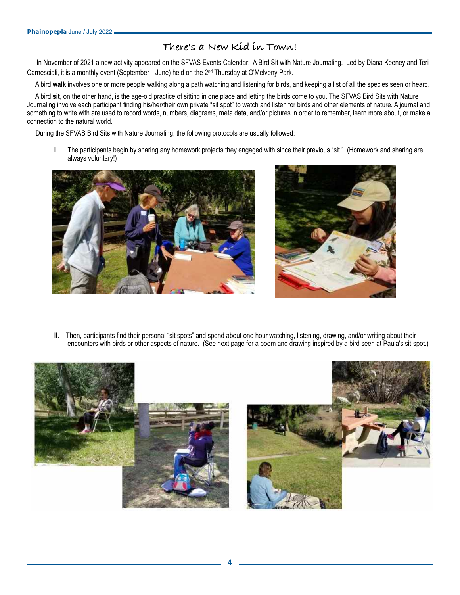## **There's a New Kid in Town!**

In November of 2021 a new activity appeared on the SFVAS Events Calendar: A Bird Sit with Nature Journaling. Led by Diana Keeney and Teri Carnesciali, it is a monthly event (September—June) held on the 2nd Thursday at O'Melveny Park.

A bird **walk** involves one or more people walking along a path watching and listening for birds, and keeping a list of all the species seen or heard.

 A bird **sit**, on the other hand, is the age-old practice of sitting in one place and letting the birds come to you. The SFVAS Bird Sits with Nature Journaling involve each participant finding his/her/their own private "sit spot" to watch and listen for birds and other elements of nature. A journal and something to write with are used to record words, numbers, diagrams, meta data, and/or pictures in order to remember, learn more about, or make a connection to the natural world.

During the SFVAS Bird Sits with Nature Journaling, the following protocols are usually followed:

I. The participants begin by sharing any homework projects they engaged with since their previous "sit." (Homework and sharing are always voluntary!)





II. Then, participants find their personal "sit spots" and spend about one hour watching, listening, drawing, and/or writing about their encounters with birds or other aspects of nature. (See next page for a poem and drawing inspired by a bird seen at Paula's sit-spot.)

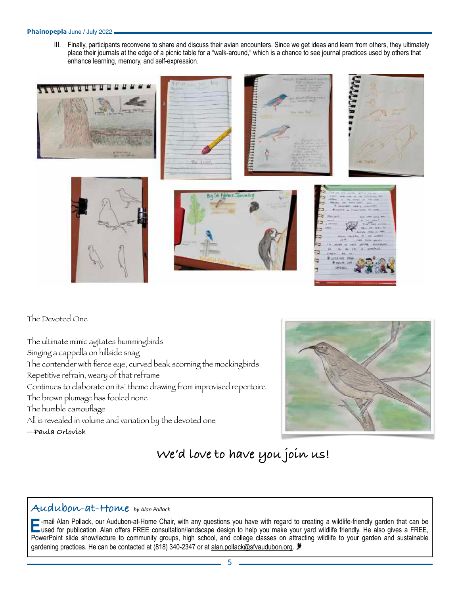III. Finally, participants reconvene to share and discuss their avian encounters. Since we get ideas and learn from others, they ultimately place their journals at the edge of a picnic table for a "walk-around," which is a chance to see journal practices used by others that enhance learning, memory, and self-expression.



The Devoted One

The ultimate mimic agitates hummingbirds Singing a cappella on hillside snag The contender with fierce eye, curved beak scorning the mockingbirds Repetitive refrain, weary of that reframe Continues to elaborate on its' theme drawing from improvised repertoire The brown plumage has fooled none The humble camouflage

All is revealed in volume and variation by the devoted one

**—Paula Orlovich**



# **We'd love to have you join us!**

### **Audubon-at-Home** *by Alan Pollack*

mail Alan Pollack, our Audubon-at-Home Chair, with any questions you have with regard to creating a wildlife-friendly garden that can be used for publication. Alan offers FREE consultation/landscape design to help you make PowerPoint slide show/lecture to community groups, high school, and college classes on attracting wildlife to your garden and sustainable gardening practices. He can be contacted at (818) 340-2347 or at [alan.pollack@sfvaudubon.org](mailto:alan.pollack@sfvaudubon.org). ♥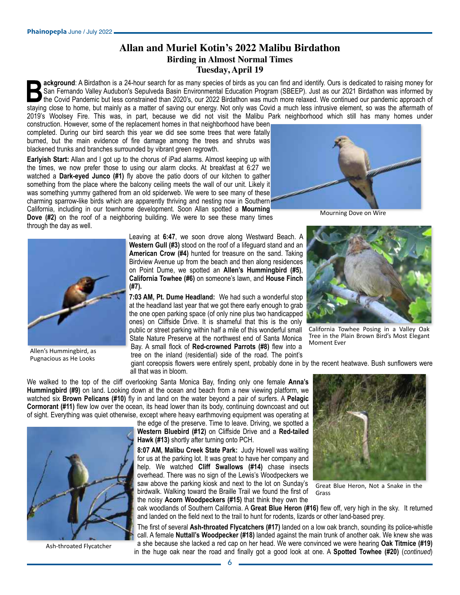### **Allan and Muriel Kotin's 2022 Malibu Birdathon Birding in Almost Normal Times Tuesday, April 19**

ackground: A Birdathon is a 24-hour search for as many species of birds as you can find and identify. Ours is dedicated to raising money for<br>San Fernando Valley Audubon's Sepulveda Basin Environmental Education Program (SB San Fernando Valley Audubon's Sepulveda Basin Environmental Education Program (SBEEP). Just as our 2021 Birdathon was informed by staying close to home, but mainly as a matter of saving our energy. Not only was Covid a much less intrusive element, so was the aftermath of 2019's Woolsey Fire. This was, in part, because we did not visit the Malibu Park neighborhood which still has many homes under

construction. However, some of the replacement homes in that neighborhood have been completed. During our bird search this year we did see some trees that were fatally burned, but the main evidence of fire damage among the trees and shrubs was blackened trunks and branches surrounded by vibrant green regrowth.

**Earlyish Start:** Allan and I got up to the chorus of iPad alarms. Almost keeping up with the times, we now prefer those to using our alarm clocks. At breakfast at 6:27 we watched a **Dark-eyed Junco (#1)** fly above the patio doors of our kitchen to gather something from the place where the balcony ceiling meets the wall of our unit. Likely it was something yummy gathered from an old spiderweb. We were to see many of these charming sparrow-like birds which are apparently thriving and nesting now in Southern California, including in our townhome development. Soon Allan spotted a **Mourning** 

**Dove (#2)** on the roof of a neighboring building. We were to see these many times through the day as well.



Mourning Dove on Wire



Allen's Hummingbird, as Pugnacious as He Looks

Leaving at **6:47**, we soon drove along Westward Beach. A **Western Gull (#3)** stood on the roof of a lifeguard stand and an **American Crow (#4)** hunted for treasure on the sand. Taking Birdview Avenue up from the beach and then along residences on Point Dume, we spotted an **Allen's Hummingbird (#5)**, **California Towhee (#6)** on someone's lawn, and **House Finch (#7).**

**7:03 AM, Pt. Dume Headland:** We had such a wonderful stop at the headland last year that we got there early enough to grab the one open parking space (of only nine plus two handicapped ones) on Cliffside Drive. It is shameful that this is the only public or street parking within half a mile of this wonderful small State Nature Preserve at the northwest end of Santa Monica Bay. A small flock of **Red-crowned Parrots (#8)** flew into a tree on the inland (residential) side of the road. The point's



California Towhee Posing in a Valley Oak Tree in the Plain Brown Bird's Most Elegant Moment Ever

giant coreopsis flowers were entirely spent, probably done in by the recent heatwave. Bush sunflowers were all that was in bloom.

We walked to the top of the cliff overlooking Santa Monica Bay, finding only one female **Anna's Hummingbird (#9)** on land. Looking down at the ocean and beach from a new viewing platform, we watched six **Brown Pelicans (#10)** fly in and land on the water beyond a pair of surfers. A **Pelagic Cormorant (#11)** flew low over the ocean, its head lower than its body, continuing downcoast and out of sight. Everything was quiet otherwise, except where heavy earthmoving equipment was operating at

> the edge of the preserve. Time to leave. Driving, we spotted a **Western Bluebird (#12)** on Cliffside Drive and a **Red-tailed Hawk (#13)** shortly after turning onto PCH.

> **8:07 AM, Malibu Creek State Park:** Judy Howell was waiting for us at the parking lot. It was great to have her company and help. We watched **Cliff Swallows (#14)** chase insects overhead. There was no sign of the Lewis's Woodpeckers we saw above the parking kiosk and next to the lot on Sunday's birdwalk. Walking toward the Braille Trail we found the first of the noisy **Acorn Woodpeckers (#15)** that think they own the



Great Blue Heron, Not a Snake in the Grass

oak woodlands of Southern California. A **Great Blue Heron (#16)** flew off, very high in the sky. It returned and landed on the field next to the trail to hunt for rodents, lizards or other land-based prey.

The first of several **Ash-throated Flycatchers (#17)** landed on a low oak branch, sounding its police-whistle call. A female **Nuttall's Woodpecker (#18)** landed against the main trunk of another oak. We knew she was a she because she lacked a red cap on her head. We were convinced we were hearing **Oak Titmice (#19)** in the huge oak near the road and finally got a good look at one. A **Spotted Towhee (#20)** (*continued*)

Ash-throated Flycatcher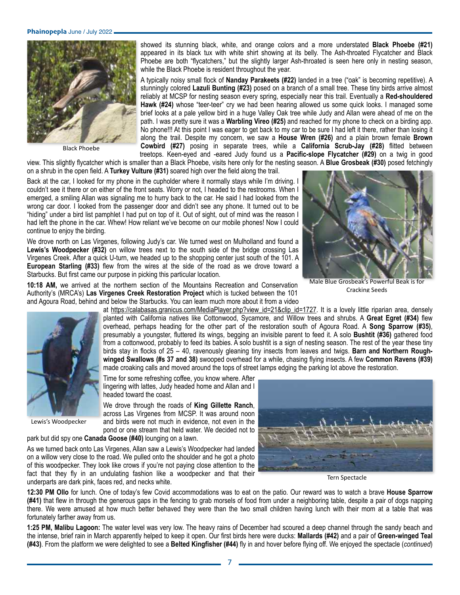

Black Phoebe

showed its stunning black, white, and orange colors and a more understated **Black Phoebe (#21)** appeared in its black tux with white shirt showing at its belly. The Ash-throated Flycatcher and Black Phoebe are both "flycatchers," but the slightly larger Ash-throated is seen here only in nesting season, while the Black Phoebe is resident throughout the year.

A typically noisy small flock of **Nanday Parakeets (#22)** landed in a tree ("oak" is becoming repetitive). A stunningly colored **Lazuli Bunting (#23)** posed on a branch of a small tree. These tiny birds arrive almost reliably at MCSP for nesting season every spring, especially near this trail. Eventually a **Red-shouldered Hawk (#24)** whose "teer-teer" cry we had been hearing allowed us some quick looks. I managed some brief looks at a pale yellow bird in a huge Valley Oak tree while Judy and Allan were ahead of me on the path. I was pretty sure it was a **Warbling Vireo (#25)** and reached for my phone to check on a birding app. No phone!!! At this point I was eager to get back to my car to be sure I had left it there, rather than losing it along the trail. Despite my concern, we saw a **House Wren (#26)** and a plain brown female **Brown Cowbird (#27)** posing in separate trees, while a **California Scrub-Jay (#28)** flitted between treetops. Keen-eyed and -eared Judy found us a **Pacific-slope Flycatcher (#29)** on a twig in good view. This slightly flycatcher which is smaller than a Black Phoebe, visits here only for the nesting season. A **Blue Grosbeak (#30)** posed fetchingly

on a shrub in the open field. A **Turkey Vulture (#31)** soared high over the field along the trail.

Back at the car, I looked for my phone in the cupholder where it normally stays while I'm driving. I couldn't see it there or on either of the front seats. Worry or not, I headed to the restrooms. When I emerged, a smiling Allan was signaling me to hurry back to the car. He said I had looked from the wrong car door. I looked from the passenger door and didn't see any phone. It turned out to be "hiding" under a bird list pamphlet I had put on top of it. Out of sight, out of mind was the reason I had left the phone in the car. Whew! How reliant we've become on our mobile phones! Now I could continue to enjoy the birding.

We drove north on Las Virgenes, following Judy's car. We turned west on Mulholland and found a **Lewis's Woodpecker (#32)** on willow trees next to the south side of the bridge crossing Las Virgenes Creek. After a quick U-turn, we headed up to the shopping center just south of the 101. A **European Starling (#33)** flew from the wires at the side of the road as we drove toward a Starbucks. But first came our purpose in picking this particular location.

**10:18 AM,** we arrived at the northern section of the Mountains Recreation and Conservation Authority's (MRCA's) **Las Virgenes Creek Restoration Project** which is tucked between the 101 and Agoura Road, behind and below the Starbucks. You can learn much more about it from a video



Male Blue Grosbeak's Powerful Beak is for Cracking Seeds



Lewis's Woodpecker

at [https://calabasas.granicus.com/MediaPlayer.php?view\\_id=21&clip\\_id=1727](https://calabasas.granicus.com/MediaPlayer.php?view_id=21&clip_id=1727). It is a lovely little riparian area, densely planted with California natives like Cottonwood, Sycamore, and Willow trees and shrubs. A **Great Egret (#34)** flew overhead, perhaps heading for the other part of the restoration south of Agoura Road. A **Song Sparrow (#35)**, presumably a youngster, fluttered its wings, begging an invisible parent to feed it. A solo **Bushtit (#36)** gathered food from a cottonwood, probably to feed its babies. A solo bushtit is a sign of nesting season. The rest of the year these tiny birds stay in flocks of 25 – 40, ravenously gleaning tiny insects from leaves and twigs. **Barn and Northern Roughwinged Swallows (#s 37 and 38)** swooped overhead for a while, chasing flying insects. A few **Common Ravens (#39)** made croaking calls and moved around the tops of street lamps edging the parking lot above the restoration.

Time for some refreshing coffee, you know where. After lingering with lattes, Judy headed home and Allan and I headed toward the coast.

We drove through the roads of **King Gillette Ranch**, across Las Virgenes from MCSP. It was around noon and birds were not much in evidence, not even in the pond or one stream that held water. We decided not to

park but did spy one **Canada Goose (#40)** lounging on a lawn.

As we turned back onto Las Virgenes, Allan saw a Lewis's Woodpecker had landed on a willow very close to the road. We pulled onto the shoulder and he got a photo of this woodpecker. They look like crows if you're not paying close attention to the fact that they fly in an undulating fashion like a woodpecker and that their underparts are dark pink, faces red, and necks white.



Tern Spectacle

**12:30 PM Ollo** for lunch. One of today's few Covid accommodations was to eat on the patio. Our reward was to watch a brave **House Sparrow (#41)** that flew in through the generous gaps in the fencing to grab morsels of food from under a neighboring table, despite a pair of dogs napping there. We were amused at how much better behaved they were than the two small children having lunch with their mom at a table that was fortunately farther away from us.

**1:25 PM, Malibu Lagoon:** The water level was very low. The heavy rains of December had scoured a deep channel through the sandy beach and the intense, brief rain in March apparently helped to keep it open. Our first birds here were ducks: **Mallards (#42)** and a pair of **Green-winged Teal (#43)**. From the platform we were delighted to see a **Belted Kingfisher (#44)** fly in and hover before flying off. We enjoyed the spectacle (*continued*)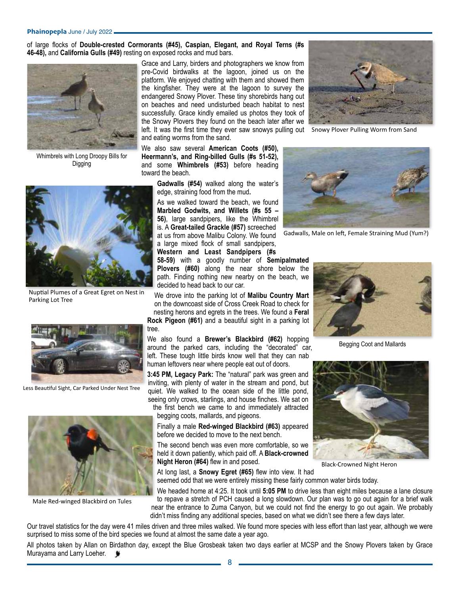of large flocks of **Double-crested Cormorants (#45), Caspian, Elegant, and Royal Terns (#s 46-48),** and **California Gulls (#49)** resting on exposed rocks and mud bars.



Whimbrels with Long Droopy Bills for Digging



Nuptial Plumes of a Great Egret on Nest in Parking Lot Tree



Less Beautiful Sight, Car Parked Under Nest Tree



Male Red-winged Blackbird on Tules

Grace and Larry, birders and photographers we know from pre-Covid birdwalks at the lagoon, joined us on the platform. We enjoyed chatting with them and showed them the kingfisher. They were at the lagoon to survey the endangered Snowy Plover. These tiny shorebirds hang out on beaches and need undisturbed beach habitat to nest successfully. Grace kindly emailed us photos they took of the Snowy Plovers they found on the beach later after we left. It was the first time they ever saw snowys pulling out and eating worms from the sand.

Snowy Plover Pulling Worm from Sand

We also saw several **American Coots (#50), Heermann's, and Ring-billed Gulls (#s 51-52),** and some **Whimbrels (#53)** before heading toward the beach.

> **Gadwalls (#54)** walked along the water's edge, straining food from the mud**.**

> As we walked toward the beach, we found **Marbled Godwits, and Willets (#s 55 – 56)**, large sandpipers, like the Whimbrel is. A **Great-tailed Grackle (#57)** screeched at us from above Malibu Colony. We found a large mixed flock of small sandpipers,

**Western and Least Sandpipers (#s 58-59)** with a goodly number of **Semipalmated Plovers (#60)** along the near shore below the path. Finding nothing new nearby on the beach, we decided to head back to our car.

We drove into the parking lot of **Malibu Country Mart** on the downcoast side of Cross Creek Road to check for nesting herons and egrets in the trees. We found a **Feral Rock Pigeon (#61)** and a beautiful sight in a parking lot tree.

We also found a **Brewer's Blackbird (#62)** hopping around the parked cars, including the "decorated" car, left. These tough little birds know well that they can nab human leftovers near where people eat out of doors.

**3:45 PM, Legacy Park:** The "natural" park was green and inviting, with plenty of water in the stream and pond, but quiet. We walked to the ocean side of the little pond, seeing only crows, starlings, and house finches. We sat on

the first bench we came to and immediately attracted begging coots, mallards, and pigeons.

Finally a male **Red-winged Blackbird (#63)** appeared before we decided to move to the next bench.

The second bench was even more comfortable, so we held it down patiently, which paid off. A **Black-crowned Night Heron (#64)** flew in and posed.





Begging Coot and Mallards



Black-Crowned Night Heron

At long last, a **Snowy Egret (#65)** flew into view. It had seemed odd that we were entirely missing these fairly common water birds today.

We headed home at 4:25. It took until **5:05 PM** to drive less than eight miles because a lane closure to repave a stretch of PCH caused a long slowdown. Our plan was to go out again for a brief walk near the entrance to Zuma Canyon, but we could not find the energy to go out again. We probably didn't miss finding any additional species, based on what we didn't see there a few days later.

Our travel statistics for the day were 41 miles driven and three miles walked. We found more species with less effort than last year, although we were surprised to miss some of the bird species we found at almost the same date a year ago.

All photos taken by Allan on Birdathon day, except the Blue Grosbeak taken two days earlier at MCSP and the Snowy Plovers taken by Grace Murayama and Larry Loeher.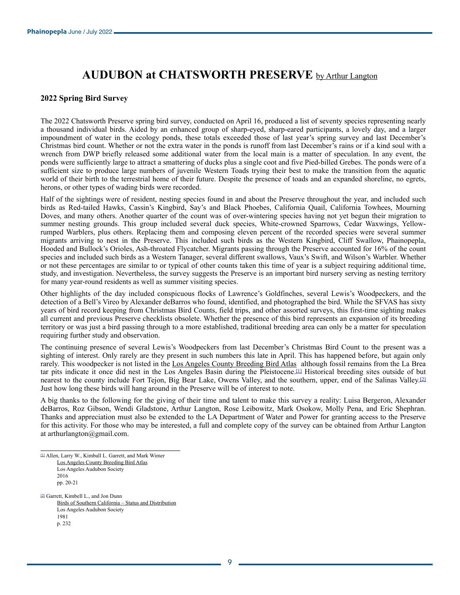# **AUDUBON at CHATSWORTH PRESERVE** by Arthur Langton

### **2022 Spring Bird Survey**

The 2022 Chatsworth Preserve spring bird survey, conducted on April 16, produced a list of seventy species representing nearly a thousand individual birds. Aided by an enhanced group of sharp-eyed, sharp-eared participants, a lovely day, and a larger impoundment of water in the ecology ponds, these totals exceeded those of last year's spring survey and last December's Christmas bird count. Whether or not the extra water in the ponds is runoff from last December's rains or if a kind soul with a wrench from DWP briefly released some additional water from the local main is a matter of speculation. In any event, the ponds were sufficiently large to attract a smattering of ducks plus a single coot and five Pied-billed Grebes. The ponds were of a sufficient size to produce large numbers of juvenile Western Toads trying their best to make the transition from the aquatic world of their birth to the terrestrial home of their future. Despite the presence of toads and an expanded shoreline, no egrets, herons, or other types of wading birds were recorded.

Half of the sightings were of resident, nesting species found in and about the Preserve throughout the year, and included such birds as Red-tailed Hawks, Cassin's Kingbird, Say's and Black Phoebes, California Quail, California Towhees, Mourning Doves, and many others. Another quarter of the count was of over-wintering species having not yet begun their migration to summer nesting grounds. This group included several duck species, White-crowned Sparrows, Cedar Waxwings, Yellowrumped Warblers, plus others. Replacing them and composing eleven percent of the recorded species were several summer migrants arriving to nest in the Preserve. This included such birds as the Western Kingbird, Cliff Swallow, Phainopepla, Hooded and Bullock's Orioles, Ash-throated Flycatcher. Migrants passing through the Preserve accounted for 16% of the count species and included such birds as a Western Tanager, several different swallows, Vaux's Swift, and Wilson's Warbler. Whether or not these percentages are similar to or typical of other counts taken this time of year is a subject requiring additional time, study, and investigation. Nevertheless, the survey suggests the Preserve is an important bird nursery serving as nesting territory for many year-round residents as well as summer visiting species.

Other highlights of the day included conspicuous flocks of Lawrence's Goldfinches, several Lewis's Woodpeckers, and the detection of a Bell's Vireo by Alexander deBarros who found, identified, and photographed the bird. While the SFVAS has sixty years of bird record keeping from Christmas Bird Counts, field trips, and other assorted surveys, this first-time sighting makes all current and previous Preserve checklists obsolete. Whether the presence of this bird represents an expansion of its breeding territory or was just a bird passing through to a more established, traditional breeding area can only be a matter for speculation requiring further study and observation.

The continuing presence of several Lewis's Woodpeckers from last December's Christmas Bird Count to the present was a sighting of interest. Only rarely are they present in such numbers this late in April. This has happened before, but again only rarely. This woodpecker is not listed in the Los Angeles County Breeding Bird Atlas although fossil remains from the La Brea tar pits indicate it once did nest in the Los Angeles Basin during the Pleistocene.[1] Historical breeding sites outside of but nearest to the county include Fort Tejon, Big Bear Lake, Owens Valley, and the southern, upper, end of the Salinas Valley.[2] Just how long these birds will hang around in the Preserve will be of interest to note.

A big thanks to the following for the giving of their time and talent to make this survey a reality: Luisa Bergeron, Alexander deBarros, Roz Gibson, Wendi Gladstone, Arthur Langton, Rose Leibowitz, Mark Osokow, Molly Pena, and Eric Shephran. Thanks and appreciation must also be extended to the LA Department of Water and Power for granting access to the Preserve for this activity. For those who may be interested, a full and complete copy of the survey can be obtained from Arthur Langton at arthurlangton@gmail.com.

\_\_\_\_\_\_\_\_\_\_\_\_\_\_\_\_\_\_\_\_\_\_\_\_\_\_\_\_\_\_\_

[2] Garrett, Kimbell L., and Jon Dunn Birds of Southern California – Status and Distribution Los Angeles Audubon Society 1981 p. 232

<sup>[1]</sup> Allen, Larry W., Kimball L. Garrett, and Mark Wimer Los Angeles County Breeding Bird Atlas Los Angeles Audubon Society 2016 pp. 20-21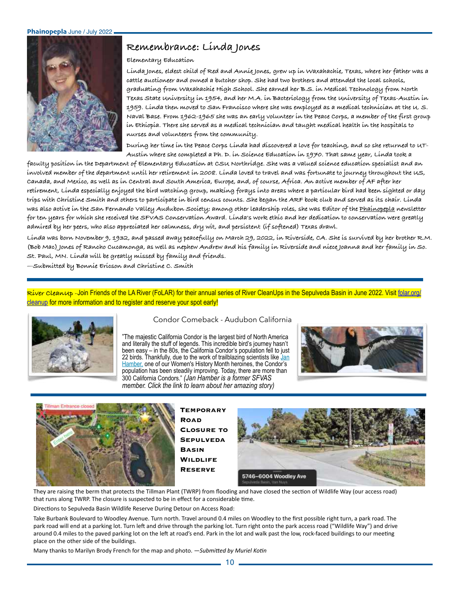

### **Remembrance: Linda Jones**

#### **Elementary Education**

**Linda Jones, eldest child of Red and Annie Jones, grew up in Waxahachie, Texas, where her father was a cattle auctioneer and owned a butcher shop. She had two brothers and attended the local schools, graduating from Waxahachie High School. She earned her B.S. in Medical Technology from North Texas State University in 1954, and her M.A. in Bacteriology from the University of Texas-Austin in 1959. Linda then moved to San Francisco where she was employed as a medical technician at the U. S. Naval Base. From 1962-1965 she was an early volunteer in the Peace Corps, a member of the first group in Ethiopia. There she served as a medical technician and taught medical health in the hospitals to nurses and volunteers from the community.**

**During her time in the Peace Corps Linda had discovered a love for teaching, and so she returned to UT-Austin where she completed a Ph. D. in Science Education in 1970. That same year, Linda took a** 

**faculty position in the Department of Elementary Education at CSU Northridge. She was a valued science education specialist and an involved member of the department until her retirement in 2008. Linda loved to travel and was fortunate to journey throughout the US, Canada, and Mexico, as well as in Central and South America, Europe, and, of course, Africa. An active member of AF after her retirement, Linda especially enjoyed the bird watching group, making forays into areas where a particular bird had been sighted or day trips with Christine Smith and others to participate in bird census counts. She began the ARF book club and served as its chair. Linda was also active in the San Fernando Valley Audubon Society; among other leadership roles, she was Editor of the Phainopepla newsletter for ten years for which she received the SFVAS Conservation Award. Linda's work ethic and her dedication to conservation were greatly admired by her peers, who also appreciated her calmness, dry wit, and persistent (if softened) Texas drawl.**

**Linda was born November 9, 1932, and passed away peacefully on March 29, 2022, in Riverside, CA. She is survived by her brother R.M. (Bob Mac) Jones of Rancho Cucamonga, as well as nephew Andrew and his family in Riverside and niece Joanna and her family in So. St. Paul, MN. Linda will be greatly missed by family and friends.**

**—Submitted by Bonnie Ericson and Christine C. Smith**

**River CleanUp -Join Friends of the LA River (FoLAR) for their annual series of River CleanUps in the Sepulveda Basin in June 2022. Visit <u>[folar.org/](http://folar.org/cleanup)</u>** [cleanup](http://folar.org/cleanup) for more information and to register and reserve your spot early!



Condor Comeback - Audubon California

"The majestic California Condor is the largest bird of North America and literally the stuff of legends. This incredible bird's journey hasn't been easy – in the 80s, the California Condor's population fell to just 22 birds. Thankfully, due to the work of trailblazing scientists like Jan [Hamber,](https://click.everyaction.com/k/42866212/334636422/2038403017?ms=ca-adv-email-ea-x-advocacy_(ca)_biodiversity_hotspot&utm_source=ea&utm_medium=email&utm_campaign=advocacy_(ca)_biodiversity_hotspot&nvep=ew0KICAiVGVuYW50VXJpIjogIm5ncHZhbjovL3Zhbi9UU00vVFNNQVUvMS81NzEzOCIsDQogICJEaXN0cmlidXRpb25VbmlxdWVJZCI6ICIwZDgzNmJhMC02Y2ExLWVjMTEtYTIyYS0yODE4NzhiODUxMTAiLA0KICAiRW1haWxBZGRyZXNzIjogIndyZW50aXRAYXR0Lm5ldCINCn0%3D&hmac=TCPOSz7Pt_83gf6AduBdB-kdjdqqhdIfA1J_E5OmNzA=) one of our Women's History Month heroines, the Condor's population has been steadily improving. Today, there are more than 300 California Condors." *(Jan Hamber is a former SFVAS member. Click the link to learn about her amazing story)*





**Temporary Road Closure to Sepulveda Basin Wildlife Reserve**



They are raising the berm that protects the Tillman Plant (TWRP) from flooding and have closed the section of Wildlife Way (our access road) that runs along TWRP. The closure is suspected to be in effect for a considerable time.

Directions to Sepulveda Basin Wildlife Reserve During Detour on Access Road:

Take Burbank Boulevard to Woodley Avenue. Turn north. Travel around 0.4 miles on Woodley to the first possible right turn, a park road. The park road will end at a parking lot. Turn left and drive through the parking lot. Turn right onto the park access road ("Wildlife Way") and drive around 0.4 miles to the paved parking lot on the left at road's end. Park in the lot and walk past the low, rock-faced buildings to our meeting place on the other side of the buildings.

Many thanks to Marilyn Brody French for the map and photo. *—Submitted by Muriel Kotin*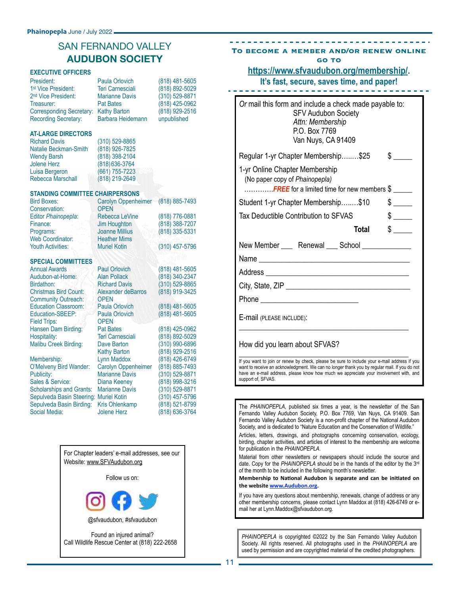# SAN FERNANDO VALLEY **AUDUBON SOCIETY**

#### **EXECUTIVE OFFICERS**

| President:                      | Paula Orlovich          | (818) 481-5605     |
|---------------------------------|-------------------------|--------------------|
| 1st Vice President:             | <b>Teri Carnesciali</b> | $(818) 892 - 5029$ |
| 2 <sup>nd</sup> Vice President: | <b>Marianne Davis</b>   | (310) 529-8871     |
| Treasurer:                      | <b>Pat Bates</b>        | (818) 425-0962     |
| <b>Corresponding Secretary:</b> | <b>Kathy Barton</b>     | (818) 929-2516     |
| <b>Recording Secretary:</b>     | Barbara Heidemann       | unpublished        |
| <b>AT-LARGE DIRECTORS</b>       |                         |                    |

#### **AT-LARGE DIRECTORS**

| <b>Richard Davis</b>         | $(310)$ 529 |
|------------------------------|-------------|
| <b>Natalie Beckman-Smith</b> | $(818)$ 926 |
| <b>Wendy Barsh</b>           | $(818)$ 398 |
| <b>Jolene Herz</b>           | (818)636    |
| Luisa Bergeron               | (661) 755   |
| Rebecca Marschall            | $(818)$ 219 |

#### 9-8865  $6 - 7825$ 8-2104  $-3764$  $5 - 7223$ 9-2649

#### **STANDING COMMITTEE CHAIRPERSONS**

| <b>Bird Boxes:</b><br>Conservation: | Carolyn Oppenheimer (818) 885-7493<br><b>OPFN</b> |                |
|-------------------------------------|---------------------------------------------------|----------------|
| Editor Phainopepla:                 | Rebecca LeVine                                    | (818) 776-0881 |
| Finance:                            | Jim Houghton                                      | (818) 388-7207 |
| Programs:                           | <b>Joanne Millius</b>                             | (818) 335-5331 |
| <b>Web Coordinator:</b>             | <b>Heather Mims</b>                               |                |
| <b>Youth Activities:</b>            | <b>Muriel Kotin</b>                               | (310) 457-5796 |
| <b>SPECIAL COMMITTEES</b>           |                                                   |                |
| <b>Annual Awards</b>                | <b>Paul Orlovich</b>                              | (818) 481-5605 |
| Audubon-at-Home:                    | <b>Alan Pollack</b>                               | (818) 340-2347 |
| Birdathon:                          | <b>Richard Davis</b>                              | (310) 529-8865 |
| <b>Christmas Bird Count:</b>        | Alexander deBarros                                | (818) 919-3425 |
| <b>Community Outreach:</b>          | <b>OPEN</b>                                       |                |
| <b>Education Classroom:</b>         | <b>Paula Orlovich</b>                             | (818) 481-5605 |
| Education-SBEEP:                    | <b>Paula Orlovich</b>                             | (818) 481-5605 |
| <b>Field Trips:</b>                 | <b>OPEN</b>                                       |                |
| Hansen Dam Birding:                 | <b>Pat Bates</b>                                  | (818) 425-0962 |
| Hospitality:                        | <b>Teri Carnesciali</b>                           | (818) 892-5029 |
| Malibu Creek Birding:               | Dave Barton                                       | (310) 990-6896 |
|                                     | <b>Kathy Barton</b>                               | (818) 929-2516 |
| Membership:                         | Lynn Maddox                                       | (818) 426-6749 |
| O'Melveny Bird Wander:              | <b>Carolyn Oppenheimer</b>                        | (818) 885-7493 |
| Publicity:                          | <b>Marianne Davis</b>                             | (310) 529-8871 |
| Sales & Service:                    | Diana Keeney                                      | (818) 998-3216 |
| <b>Scholarships and Grants:</b>     | <b>Marianne Davis</b>                             | (310) 529-8871 |
| Sepulveda Basin Steering:           | <b>Muriel Kotin</b>                               | (310) 457-5796 |
| Sepulveda Basin Birding:            | <b>Kris Ohlenkamp</b>                             | (818) 521-8799 |
| Social Media:                       | <b>Jolene Herz</b>                                | (818) 636-3764 |

For Chapter leaders' e-mail addresses, see our Website: [www.SFVAudubon.org](http://www.SFVAudubon.org)

Follow us on:



@sfvaudubon, #sfvaudubon

Found an injured animal? Call Wildlife Rescue Center at (818) 222-2658

#### **To become a member and/or renew online go to**

# **[https://www.sfvaudubon.org/membership/.](https://www.sfvaudubon.org/membership/)**

### **It's fast, secure, saves time, and paper!**

| Or mail this form and include a check made payable to:<br><b>SFV Audubon Society</b><br>Attn: Membership<br>P.O. Box 7769<br>Van Nuys, CA 91409 |       |                             |  |  |
|-------------------------------------------------------------------------------------------------------------------------------------------------|-------|-----------------------------|--|--|
| Regular 1-yr Chapter Membership\$25<br>$\mathbb{S}$                                                                                             |       |                             |  |  |
| 1-yr Online Chapter Membership<br>(No paper copy of Phainopepla)<br>FREE for a limited time for new members \$                                  |       |                             |  |  |
|                                                                                                                                                 |       |                             |  |  |
| Student 1-yr Chapter Membership\$10                                                                                                             |       | $\frac{1}{2}$               |  |  |
| Tax Deductible Contribution to SFVAS                                                                                                            |       | $\frac{\text{S}}{\text{S}}$ |  |  |
|                                                                                                                                                 | Total | $\frac{1}{2}$               |  |  |
| New Member ____ Renewal ___ School _____________                                                                                                |       |                             |  |  |
|                                                                                                                                                 |       |                             |  |  |
|                                                                                                                                                 |       |                             |  |  |
|                                                                                                                                                 |       |                             |  |  |
|                                                                                                                                                 |       |                             |  |  |
| E-mail (PLEASE INCLUDE):                                                                                                                        |       |                             |  |  |

How did you learn about SFVAS?

\_\_\_\_\_\_\_\_\_\_\_\_\_\_\_\_\_\_\_\_\_\_\_\_\_\_\_\_\_\_\_\_\_\_\_\_\_\_\_\_\_\_\_\_\_ If you want to join or renew by check, please be sure to include your e-mail address if you want to receive an acknowledgment. We can no longer thank you by regular mail. If you do not have an e-mail address, please know how much we appreciate your involvement with, and support of, SFVAS.

The *PHAINOPEPLA*, published six times a year, is the newsletter of the San Fernando Valley Audubon Society, P.O. Box 7769, Van Nuys, CA 91409. San Fernando Valley Audubon Society is a non-profit chapter of the National Audubon Society, and is dedicated to "Nature Education and the Conservation of Wildlife."

Articles, letters, drawings, and photographs concerning conservation, ecology, birding, chapter activities, and articles of interest to the membership are welcome for publication in the *PHAINOPEPLA*.

Material from other newsletters or newspapers should include the source and date. Copy for the *PHAINOPEPLA* should be in the hands of the editor by the 3rd of the month to be included in the following month's newsletter.

**Membership to National Audubon is separate and can be initiated on the website [www.Audubon.org](http://www.audubon.org/).** 

If you have any questions about membership, renewals, change of address or any other membership concerns, please contact Lynn Maddox at (818) 426-6749 or email her at Lynn.Maddox@sfvaudubon.org.

*PHAINOPEPLA* is copyrighted ©2022 by the San Fernando Valley Audubon Society. All rights reserved. All photographs used in the *PHAINOPEPLA* are used by permission and are copyrighted material of the credited photographers.